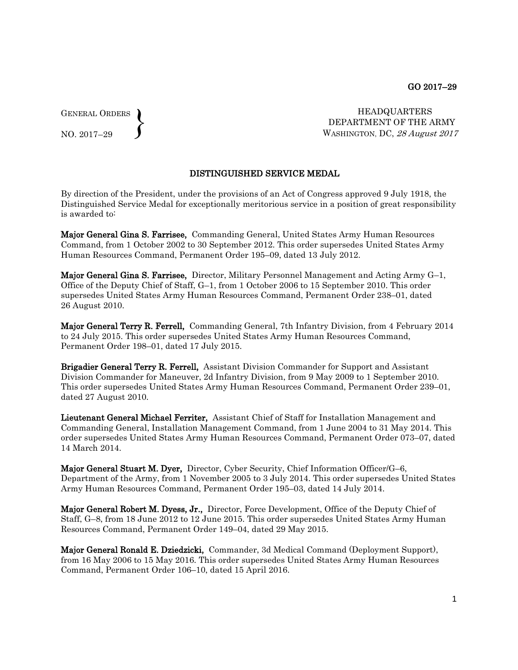GENERAL ORDERS  $\left\{ \right\}$ 

NO. 2017–29

HEADQUARTERS DEPARTMENT OF THE ARMY WASHINGTON, DC, 28 August 2017

## DISTINGUISHED SERVICE MEDAL

By direction of the President, under the provisions of an Act of Congress approved 9 July 1918, the Distinguished Service Medal for exceptionally meritorious service in a position of great responsibility is awarded to:

Major General Gina S. Farrisee, Commanding General, United States Army Human Resources Command, from 1 October 2002 to 30 September 2012. This order supersedes United States Army Human Resources Command, Permanent Order 195–09, dated 13 July 2012.

Major General Gina S. Farrisee, Director, Military Personnel Management and Acting Army G–1, Office of the Deputy Chief of Staff, G–1, from 1 October 2006 to 15 September 2010. This order supersedes United States Army Human Resources Command, Permanent Order 238–01, dated 26 August 2010.

Major General Terry R. Ferrell, Commanding General, 7th Infantry Division, from 4 February 2014 to 24 July 2015. This order supersedes United States Army Human Resources Command, Permanent Order 198–01, dated 17 July 2015.

Brigadier General Terry R. Ferrell, Assistant Division Commander for Support and Assistant Division Commander for Maneuver, 2d Infantry Division, from 9 May 2009 to 1 September 2010. This order supersedes United States Army Human Resources Command, Permanent Order 239–01, dated 27 August 2010.

Lieutenant General Michael Ferriter, Assistant Chief of Staff for Installation Management and Commanding General, Installation Management Command, from 1 June 2004 to 31 May 2014. This order supersedes United States Army Human Resources Command, Permanent Order 073–07, dated 14 March 2014.

Major General Stuart M. Dyer, Director, Cyber Security, Chief Information Officer/G–6, Department of the Army, from 1 November 2005 to 3 July 2014. This order supersedes United States Army Human Resources Command, Permanent Order 195–03, dated 14 July 2014.

Major General Robert M. Dyess, Jr., Director, Force Development, Office of the Deputy Chief of Staff, G–8, from 18 June 2012 to 12 June 2015. This order supersedes United States Army Human Resources Command, Permanent Order 149–04, dated 29 May 2015.

Major General Ronald E. Dziedzicki, Commander, 3d Medical Command (Deployment Support), from 16 May 2006 to 15 May 2016. This order supersedes United States Army Human Resources Command, Permanent Order 106–10, dated 15 April 2016.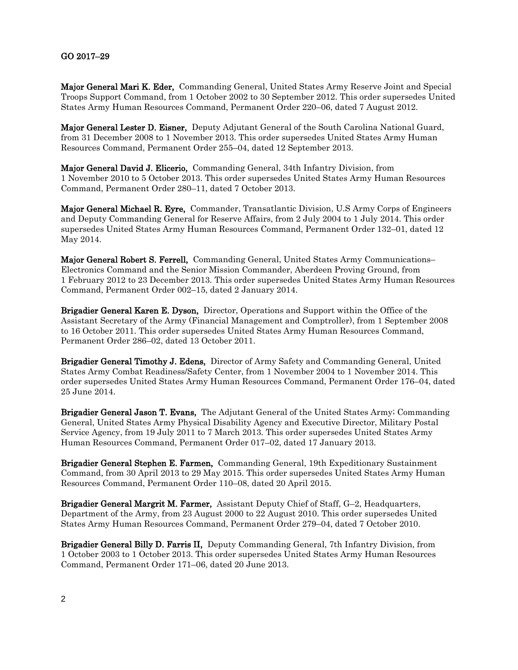## GO 2017–29

Major General Mari K. Eder, Commanding General, United States Army Reserve Joint and Special Troops Support Command, from 1 October 2002 to 30 September 2012. This order supersedes United States Army Human Resources Command, Permanent Order 220–06, dated 7 August 2012.

Major General Lester D. Eisner, Deputy Adjutant General of the South Carolina National Guard, from 31 December 2008 to 1 November 2013. This order supersedes United States Army Human Resources Command, Permanent Order 255–04, dated 12 September 2013.

Major General David J. Elicerio, Commanding General, 34th Infantry Division, from 1 November 2010 to 5 October 2013. This order supersedes United States Army Human Resources Command, Permanent Order 280–11, dated 7 October 2013.

Major General Michael R. Eyre, Commander, Transatlantic Division, U.S Army Corps of Engineers and Deputy Commanding General for Reserve Affairs, from 2 July 2004 to 1 July 2014. This order supersedes United States Army Human Resources Command, Permanent Order 132–01, dated 12 May 2014.

Major General Robert S. Ferrell, Commanding General, United States Army Communications– Electronics Command and the Senior Mission Commander, Aberdeen Proving Ground, from 1 February 2012 to 23 December 2013. This order supersedes United States Army Human Resources Command, Permanent Order 002–15, dated 2 January 2014.

Brigadier General Karen E. Dyson, Director, Operations and Support within the Office of the Assistant Secretary of the Army (Financial Management and Comptroller), from 1 September 2008 to 16 October 2011. This order supersedes United States Army Human Resources Command, Permanent Order 286–02, dated 13 October 2011.

Brigadier General Timothy J. Edens, Director of Army Safety and Commanding General, United States Army Combat Readiness/Safety Center, from 1 November 2004 to 1 November 2014. This order supersedes United States Army Human Resources Command, Permanent Order 176–04, dated 25 June 2014.

Brigadier General Jason T. Evans, The Adjutant General of the United States Army; Commanding General, United States Army Physical Disability Agency and Executive Director, Military Postal Service Agency, from 19 July 2011 to 7 March 2013. This order supersedes United States Army Human Resources Command, Permanent Order 017–02, dated 17 January 2013.

Brigadier General Stephen E. Farmen, Commanding General, 19th Expeditionary Sustainment Command, from 30 April 2013 to 29 May 2015. This order supersedes United States Army Human Resources Command, Permanent Order 110–08, dated 20 April 2015.

Brigadier General Margrit M. Farmer, Assistant Deputy Chief of Staff, G-2, Headquarters, Department of the Army, from 23 August 2000 to 22 August 2010. This order supersedes United States Army Human Resources Command, Permanent Order 279–04, dated 7 October 2010.

Brigadier General Billy D. Farris II, Deputy Commanding General, 7th Infantry Division, from 1 October 2003 to 1 October 2013. This order supersedes United States Army Human Resources Command, Permanent Order 171–06, dated 20 June 2013.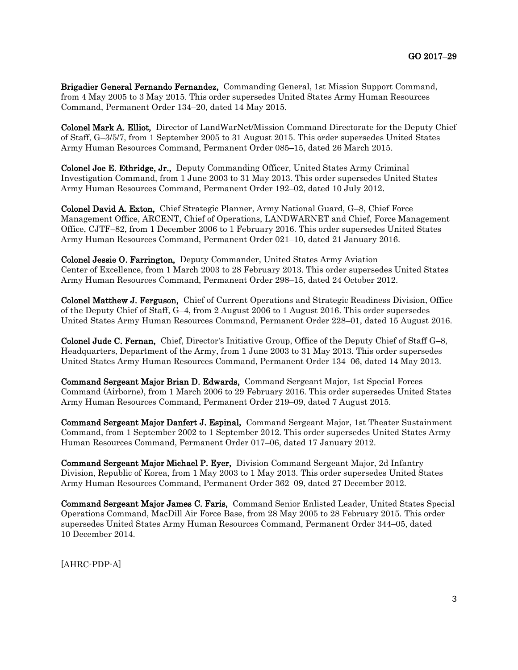Brigadier General Fernando Fernandez, Commanding General, 1st Mission Support Command, from 4 May 2005 to 3 May 2015. This order supersedes United States Army Human Resources Command, Permanent Order 134–20, dated 14 May 2015.

Colonel Mark A. Elliot, Director of LandWarNet/Mission Command Directorate for the Deputy Chief of Staff, G–3/5/7, from 1 September 2005 to 31 August 2015. This order supersedes United States Army Human Resources Command, Permanent Order 085–15, dated 26 March 2015.

Colonel Joe E. Ethridge, Jr., Deputy Commanding Officer, United States Army Criminal Investigation Command, from 1 June 2003 to 31 May 2013. This order supersedes United States Army Human Resources Command, Permanent Order 192–02, dated 10 July 2012.

Colonel David A. Exton, Chief Strategic Planner, Army National Guard, G–8, Chief Force Management Office, ARCENT, Chief of Operations, LANDWARNET and Chief, Force Management Office, CJTF–82, from 1 December 2006 to 1 February 2016. This order supersedes United States Army Human Resources Command, Permanent Order 021–10, dated 21 January 2016.

Colonel Jessie O. Farrington, Deputy Commander, United States Army Aviation Center of Excellence, from 1 March 2003 to 28 February 2013. This order supersedes United States Army Human Resources Command, Permanent Order 298–15, dated 24 October 2012.

Colonel Matthew J. Ferguson, Chief of Current Operations and Strategic Readiness Division, Office of the Deputy Chief of Staff, G–4, from 2 August 2006 to 1 August 2016. This order supersedes United States Army Human Resources Command, Permanent Order 228–01, dated 15 August 2016.

Colonel Jude C. Fernan, Chief, Director's Initiative Group, Office of the Deputy Chief of Staff G–8, Headquarters, Department of the Army, from 1 June 2003 to 31 May 2013. This order supersedes United States Army Human Resources Command, Permanent Order 134–06, dated 14 May 2013.

Command Sergeant Major Brian D. Edwards, Command Sergeant Major, 1st Special Forces Command (Airborne), from 1 March 2006 to 29 February 2016. This order supersedes United States Army Human Resources Command, Permanent Order 219–09, dated 7 August 2015.

Command Sergeant Major Danfert J. Espinal, Command Sergeant Major, 1st Theater Sustainment Command, from 1 September 2002 to 1 September 2012. This order supersedes United States Army Human Resources Command, Permanent Order 017–06, dated 17 January 2012.

Command Sergeant Major Michael P. Eyer, Division Command Sergeant Major, 2d Infantry Division, Republic of Korea, from 1 May 2003 to 1 May 2013. This order supersedes United States Army Human Resources Command, Permanent Order 362–09, dated 27 December 2012.

Command Sergeant Major James C. Faris, Command Senior Enlisted Leader, United States Special Operations Command, MacDill Air Force Base, from 28 May 2005 to 28 February 2015. This order supersedes United States Army Human Resources Command, Permanent Order 344–05, dated 10 December 2014.

[AHRC-PDP-A]